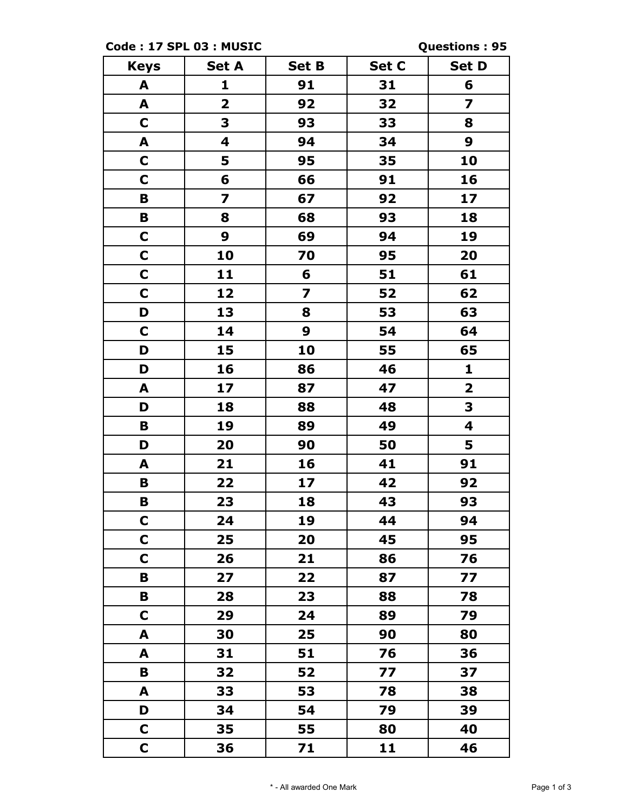**Code : 17 SPL 03 : MUSIC Questions : 95**

| <b>Keys</b> | <b>Set A</b>            | <b>Set B</b>            | Set C | <b>Set D</b>            |
|-------------|-------------------------|-------------------------|-------|-------------------------|
| A           | 1                       | 91                      | 31    | 6                       |
| A           | $\overline{\mathbf{2}}$ | 92                      | 32    | 7                       |
| $\mathbf C$ | 3                       | 93                      | 33    | 8                       |
| A           | $\overline{\mathbf{4}}$ | 94                      | 34    | 9                       |
| $\mathbf C$ | 5                       | 95                      | 35    | 10                      |
| $\mathbf C$ | 6                       | 66                      | 91    | 16                      |
| B           | $\overline{\mathbf{z}}$ | 67                      | 92    | 17                      |
| B           | 8                       | 68                      | 93    | 18                      |
| $\mathbf C$ | 9                       | 69                      | 94    | 19                      |
| $\mathbf C$ | 10                      | 70                      | 95    | 20                      |
| $\mathbf C$ | 11                      | 6                       | 51    | 61                      |
| $\mathbf C$ | 12                      | $\overline{\mathbf{z}}$ | 52    | 62                      |
| D           | 13                      | 8                       | 53    | 63                      |
| $\mathbf C$ | 14                      | 9                       | 54    | 64                      |
| D           | 15                      | 10                      | 55    | 65                      |
| D           | 16                      | 86                      | 46    | 1                       |
| A           | 17                      | 87                      | 47    | $\overline{\mathbf{2}}$ |
| D           | 18                      | 88                      | 48    | 3                       |
| B           | 19                      | 89                      | 49    | 4                       |
| D           | 20                      | 90                      | 50    | 5                       |
| A           | 21                      | 16                      | 41    | 91                      |
| B           | 22                      | 17                      | 42    | 92                      |
| Β           | 23                      | 18                      | 43    | 93                      |
| $\mathbf C$ | 24                      | 19                      | 44    | 94                      |
| $\mathbf C$ | 25                      | 20                      | 45    | 95                      |
| $\mathbf C$ | 26                      | 21                      | 86    | 76                      |
| В           | 27                      | 22                      | 87    | 77                      |
| В           | 28                      | 23                      | 88    | 78                      |
| C           | 29                      | 24                      | 89    | 79                      |
| A           | 30                      | 25                      | 90    | 80                      |
| A           | 31                      | 51                      | 76    | 36                      |
| B           | 32                      | 52                      | 77    | 37                      |
| A           | 33                      | 53                      | 78    | 38                      |
| D           | 34                      | 54                      | 79    | 39                      |
| C           | 35                      | 55                      | 80    | 40                      |
| $\mathbf C$ | 36                      | 71                      | 11    | 46                      |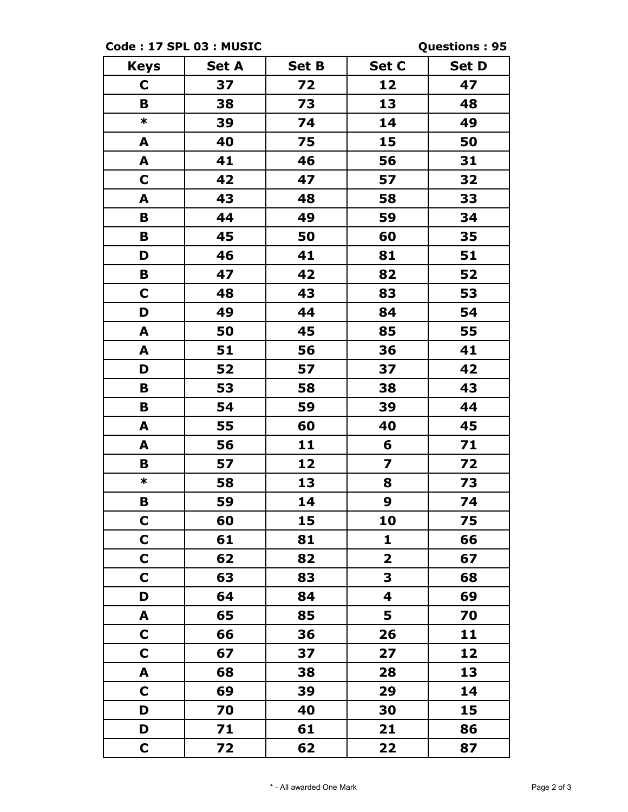**Code : 17 SPL 03 : MUSIC Questions : 95**

| <b>Keys</b>  | <b>Set A</b> | <b>Set B</b> | Set C                   | <b>Set D</b> |
|--------------|--------------|--------------|-------------------------|--------------|
| C            | 37           | 72           | 12                      | 47           |
| B            | 38           | 73           | 13                      | 48           |
| $\ast$       | 39           | 74           | 14                      | 49           |
| A            | 40           | 75           | 15                      | 50           |
| A            | 41           | 46           | 56                      | 31           |
| C            | 42           | 47           | 57                      | 32           |
| A            | 43           | 48           | 58                      | 33           |
| B            | 44           | 49           | 59                      | 34           |
| B            | 45           | 50           | 60                      | 35           |
| D            | 46           | 41           | 81                      | 51           |
| B            | 47           | 42           | 82                      | 52           |
| C            | 48           | 43           | 83                      | 53           |
| D            | 49           | 44           | 84                      | 54           |
| A            | 50           | 45           | 85                      | 55           |
| A            | 51           | 56           | 36                      | 41           |
| D            | 52           | 57           | 37                      | 42           |
| B            | 53           | 58           | 38                      | 43           |
| B            | 54           | 59           | 39                      | 44           |
| A            | 55           | 60           | 40                      | 45           |
| A            | 56           | 11           | 6                       | 71           |
| B            | 57           | 12           | $\overline{\mathbf{z}}$ | 72           |
| $\ast$       | 58           | 13           | 8                       | 73           |
| В            | 59           | 14           | $\boldsymbol{9}$        | 74           |
| $\mathbf C$  | 60           | 15           | 10                      | 75           |
| $\mathbf C$  | 61           | 81           | $\mathbf{1}$            | 66           |
| C            | 62           | 82           | $\overline{\mathbf{2}}$ | 67           |
| C            | 63           | 83           | 3                       | 68           |
| D            | 64           | 84           | 4                       | 69           |
| A            | 65           | 85           | 5                       | 70           |
| $\mathsf{C}$ | 66           | 36           | 26                      | 11           |
| C            | 67           | 37           | 27                      | 12           |
| A            | 68           | 38           | 28                      | 13           |
| $\mathbf C$  | 69           | 39           | 29                      | 14           |
| D            | 70           | 40           | 30                      | 15           |
| D            | 71           | 61           | 21                      | 86           |
| $\mathsf{C}$ | 72           | 62           | 22                      | 87           |